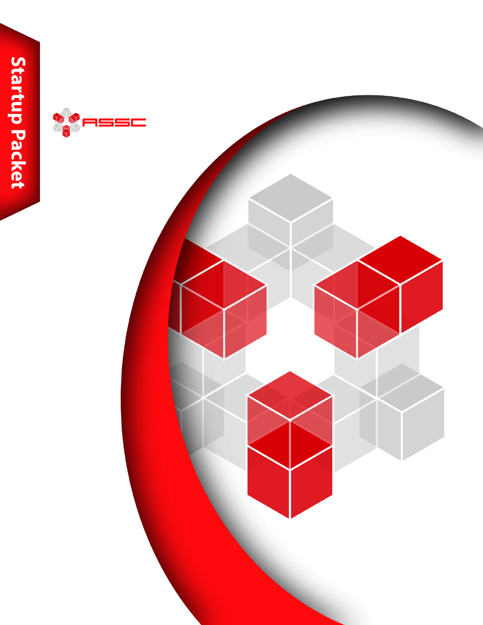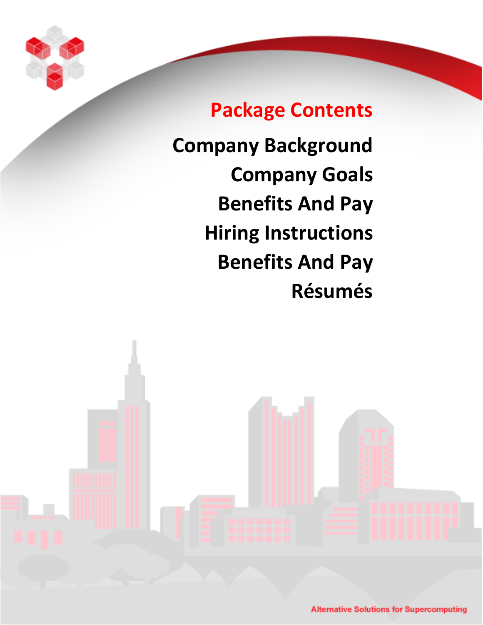

# **Package Contents**

**Company Background Company Goals Benefits And Pay Hiring Instructions Benefits And Pay Résumés**

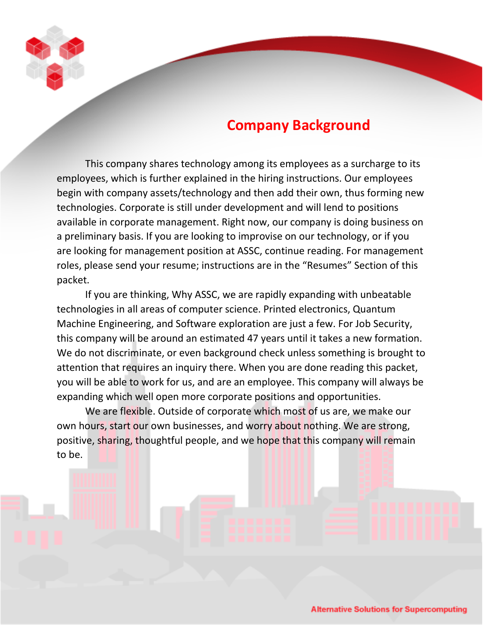

# **Company Background**

This company shares technology among its employees as a surcharge to its employees, which is further explained in the hiring instructions. Our employees begin with company assets/technology and then add their own, thus forming new technologies. Corporate is still under development and will lend to positions available in corporate management. Right now, our company is doing business on a preliminary basis. If you are looking to improvise on our technology, or if you are looking for management position at ASSC, continue reading. For management roles, please send your resume; instructions are in the "Resumes" Section of this packet.

If you are thinking, Why ASSC, we are rapidly expanding with unbeatable technologies in all areas of computer science. Printed electronics, Quantum Machine Engineering, and Software exploration are just a few. For Job Security, this company will be around an estimated 47 years until it takes a new formation. We do not discriminate, or even background check unless something is brought to attention that requires an inquiry there. When you are done reading this packet, you will be able to work for us, and are an employee. This company will always be expanding which well open more corporate positions and opportunities.

We are flexible. Outside of corporate which most of us are, we make our own hours, start our own businesses, and worry about nothing. We are strong, positive, sharing, thoughtful people, and we hope that this company will remain to be.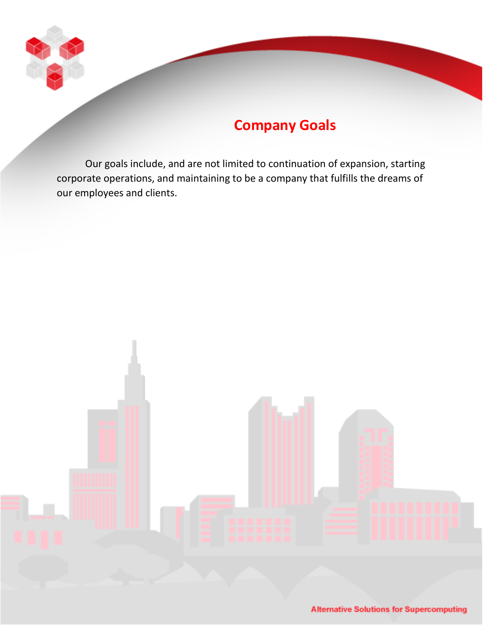

# **Company Goals**

Our goals include, and are not limited to continuation of expansion, starting corporate operations, and maintaining to be a company that fulfills the dreams of our employees and clients.

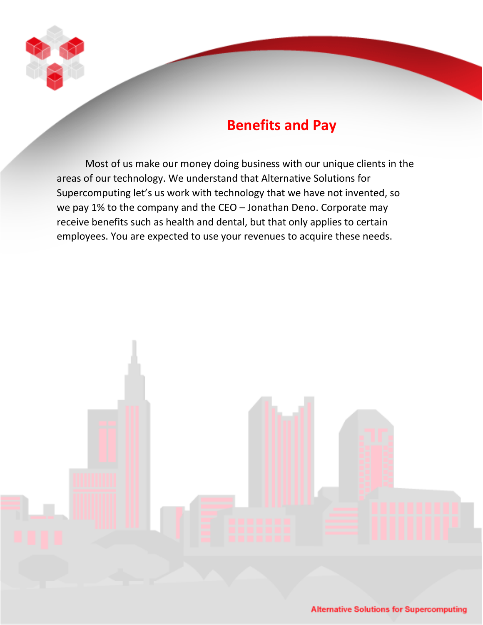

# **Benefits and Pay**

Most of us make our money doing business with our unique clients in the areas of our technology. We understand that Alternative Solutions for Supercomputing let's us work with technology that we have not invented, so we pay 1% to the company and the CEO – Jonathan Deno. Corporate may receive benefits such as health and dental, but that only applies to certain employees. You are expected to use your revenues to acquire these needs.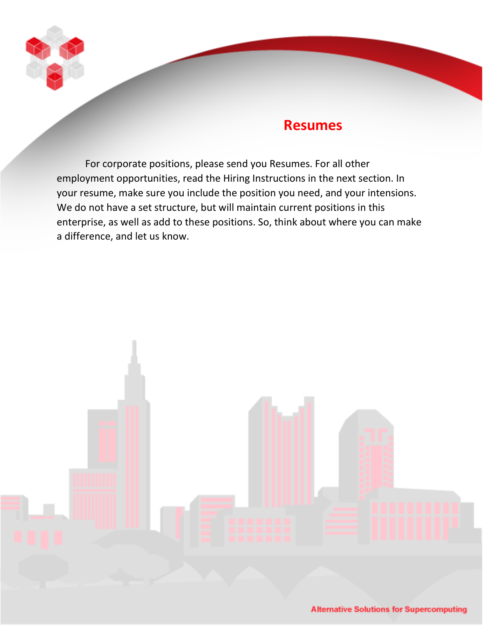

## **Resumes**

For corporate positions, please send you Resumes. For all other employment opportunities, read the Hiring Instructions in the next section. In your resume, make sure you include the position you need, and your intensions. We do not have a set structure, but will maintain current positions in this enterprise, as well as add to these positions. So, think about where you can make a difference, and let us know.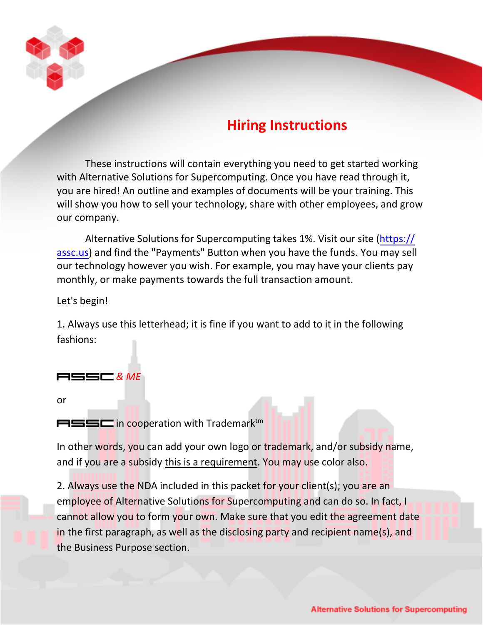

# **Hiring Instructions**

These instructions will contain everything you need to get started working with Alternative Solutions for Supercomputing. Once you have read through it, you are hired! An outline and examples of documents will be your training. This will show you how to sell your technology, share with other employees, and grow our company.

Alternative Solutions for Supercomputing takes 1%. Visit our site (https:// assc.us) and find the "Payments[" Button when you have the funds. You may sell](https://assc.com.co/) our technology however you wish. For example, you may have your clients pay monthly, or make payments towards the full transaction amount.

Let's begin!

1. Always use this letterhead; it is fine if you want to add to it in the following fashions:

### *& ME*

or

 $M^{\text{max}}$  in cooperation with Trademark<sup>tm</sup>

In other words, you can add your own logo or trademark, and/or subsidy name, and if you are a subsidy this is a requirement. You may use color also.

2. Always use the NDA included in this packet for your client(s); you are an employee of Alternative Solutions for Supercomputing and can do so. In fact, I cannot allow you to form your own. Make sure that you edit the agreement date in the first paragraph, as well as the disclosing party and recipient name(s), and the Business Purpose section.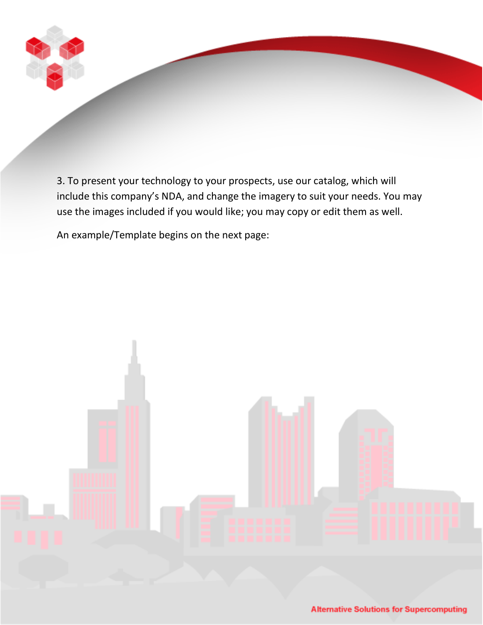

3. To present your technology to your prospects, use our catalog, which will include this company's NDA, and change the imagery to suit your needs. You may use the images included if you would like; you may copy or edit them as well.

An example/Template begins on the next page:

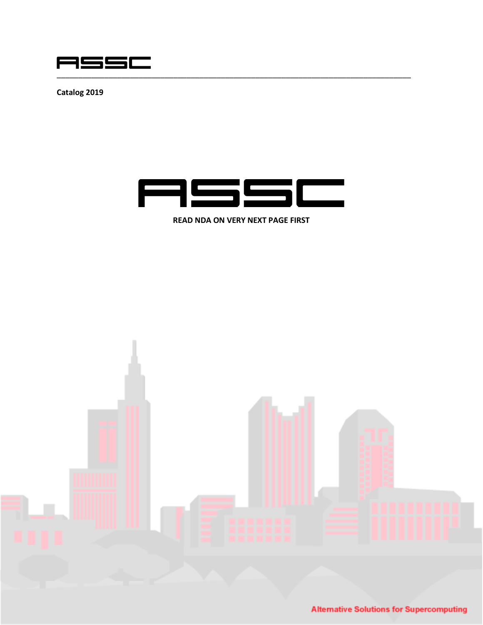

**Catalog 2019**



**READ NDA ON VERY NEXT PAGE FIRST**



**Alternative Solutions for Supercomputing**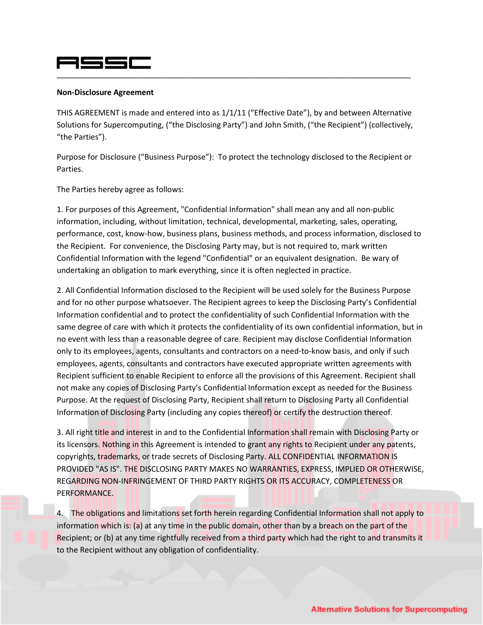### **MSSE** \_\_\_\_\_\_\_\_\_\_\_\_\_\_\_\_\_\_\_\_\_\_\_\_\_\_\_\_\_\_\_\_\_\_\_\_\_\_\_\_\_\_\_\_\_\_\_\_\_\_\_\_\_\_\_\_\_\_\_\_\_\_\_\_\_\_\_\_\_\_\_\_\_\_\_\_\_\_\_\_\_\_

#### **Non-Disclosure Agreement**

THIS AGREEMENT is made and entered into as 1/1/11 ("Effective Date"), by and between Alternative Solutions for Supercomputing, ("the Disclosing Party") and John Smith, ("the Recipient") (collectively, "the Parties").

Purpose for Disclosure ("Business Purpose"): To protect the technology disclosed to the Recipient or Parties.

The Parties hereby agree as follows:

1. For purposes of this Agreement, "Confidential Information" shall mean any and all non-public information, including, without limitation, technical, developmental, marketing, sales, operating, performance, cost, know-how, business plans, business methods, and process information, disclosed to the Recipient. For convenience, the Disclosing Party may, but is not required to, mark written Confidential Information with the legend "Confidential" or an equivalent designation. Be wary of undertaking an obligation to mark everything, since it is often neglected in practice.

2. All Confidential Information disclosed to the Recipient will be used solely for the Business Purpose and for no other purpose whatsoever. The Recipient agrees to keep the Disclosing Party's Confidential Information confidential and to protect the confidentiality of such Confidential Information with the same degree of care with which it protects the confidentiality of its own confidential information, but in no event with less than a reasonable degree of care. Recipient may disclose Confidential Information only to its employees, agents, consultants and contractors on a need-to-know basis, and only if such employees, agents, consultants and contractors have executed appropriate written agreements with Recipient sufficient to enable Recipient to enforce all the provisions of this Agreement. Recipient shall not make any copies of Disclosing Party's Confidential Information except as needed for the Business Purpose. At the request of Disclosing Party, Recipient shall return to Disclosing Party all Confidential Information of Disclosing Party (including any copies thereof) or certify the destruction thereof.

3. All right title and interest in and to the Confidential Information shall remain with Disclosing Party or its licensors. Nothing in this Agreement is intended to grant any rights to Recipient under any patents, copyrights, trademarks, or trade secrets of Disclosing Party. ALL CONFIDENTIAL INFORMATION IS PROVIDED "AS IS". THE DISCLOSING PARTY MAKES NO WARRANTIES, EXPRESS, IMPLIED OR OTHERWISE, REGARDING NON-INFRINGEMENT OF THIRD PARTY RIGHTS OR ITS ACCURACY, COMPLETENESS OR PERFORMANCE.

4. The obligations and limitations set forth herein regarding Confidential Information shall not apply to information which is: (a) at any time in the public domain, other than by a breach on the part of the Recipient; or (b) at any time rightfully received from a third party which had the right to and transmits it to the Recipient without any obligation of confidentiality.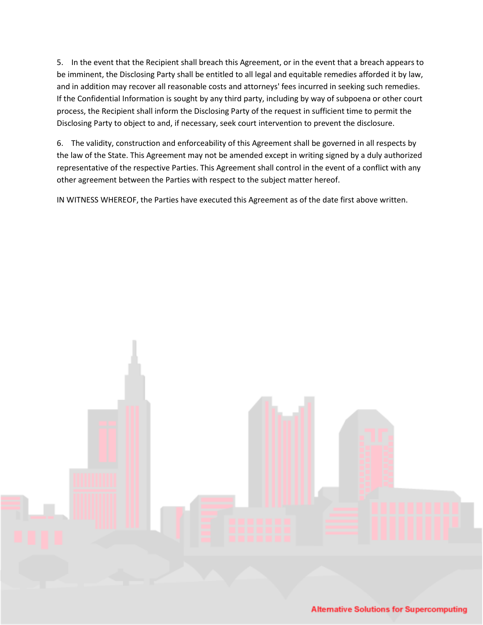5. In the event that the Recipient shall breach this Agreement, or in the event that a breach appears to be imminent, the Disclosing Party shall be entitled to all legal and equitable remedies afforded it by law, and in addition may recover all reasonable costs and attorneys' fees incurred in seeking such remedies. If the Confidential Information is sought by any third party, including by way of subpoena or other court process, the Recipient shall inform the Disclosing Party of the request in sufficient time to permit the Disclosing Party to object to and, if necessary, seek court intervention to prevent the disclosure.

6. The validity, construction and enforceability of this Agreement shall be governed in all respects by the law of the State. This Agreement may not be amended except in writing signed by a duly authorized representative of the respective Parties. This Agreement shall control in the event of a conflict with any other agreement between the Parties with respect to the subject matter hereof.

IN WITNESS WHEREOF, the Parties have executed this Agreement as of the date first above written.



**Alternative Solutions for Supercomputing**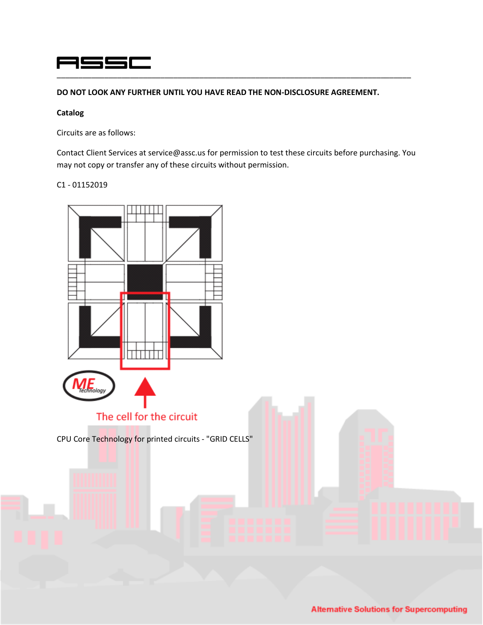### ASSC \_\_\_\_\_\_\_\_\_\_\_\_\_\_\_\_\_\_\_\_\_\_\_\_\_\_\_\_\_\_\_\_\_\_\_\_\_\_\_\_\_\_\_\_\_\_\_\_\_\_\_\_\_\_\_\_\_\_\_\_\_\_\_\_\_\_\_\_\_\_\_\_\_\_\_\_\_\_\_\_\_\_

**DO NOT LOOK ANY FURTHER UNTIL YOU HAVE READ THE NON-DISCLOSURE AGREEMENT.**

#### **Catalog**

Circuits are as follows:

Contact Client Services at service@assc.us for permission to test these circuits before purchasing. You may not copy or transfer any of these circuits without permission.

#### C1 - 01152019